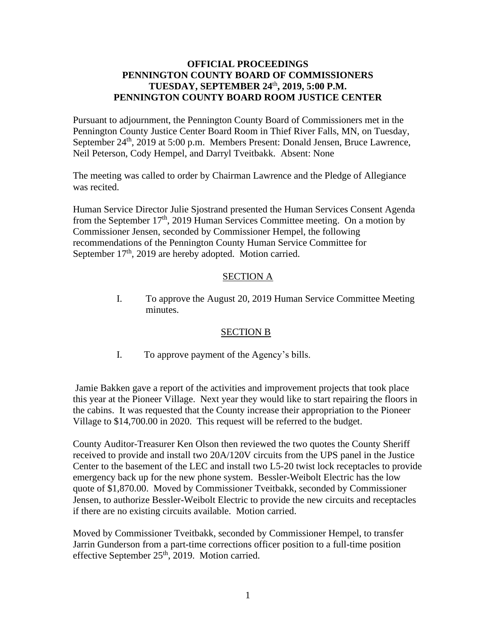# **OFFICIAL PROCEEDINGS PENNINGTON COUNTY BOARD OF COMMISSIONERS TUESDAY, SEPTEMBER 24**th **, 2019, 5:00 P.M. PENNINGTON COUNTY BOARD ROOM JUSTICE CENTER**

Pursuant to adjournment, the Pennington County Board of Commissioners met in the Pennington County Justice Center Board Room in Thief River Falls, MN, on Tuesday, September 24<sup>th</sup>, 2019 at 5:00 p.m. Members Present: Donald Jensen, Bruce Lawrence, Neil Peterson, Cody Hempel, and Darryl Tveitbakk. Absent: None

The meeting was called to order by Chairman Lawrence and the Pledge of Allegiance was recited.

Human Service Director Julie Sjostrand presented the Human Services Consent Agenda from the September  $17<sup>th</sup>$ , 2019 Human Services Committee meeting. On a motion by Commissioner Jensen, seconded by Commissioner Hempel, the following recommendations of the Pennington County Human Service Committee for September 17<sup>th</sup>, 2019 are hereby adopted. Motion carried.

# SECTION A

I. To approve the August 20, 2019 Human Service Committee Meeting minutes.

## SECTION B

I. To approve payment of the Agency's bills.

Jamie Bakken gave a report of the activities and improvement projects that took place this year at the Pioneer Village. Next year they would like to start repairing the floors in the cabins. It was requested that the County increase their appropriation to the Pioneer Village to \$14,700.00 in 2020. This request will be referred to the budget.

County Auditor-Treasurer Ken Olson then reviewed the two quotes the County Sheriff received to provide and install two 20A/120V circuits from the UPS panel in the Justice Center to the basement of the LEC and install two L5-20 twist lock receptacles to provide emergency back up for the new phone system. Bessler-Weibolt Electric has the low quote of \$1,870.00. Moved by Commissioner Tveitbakk, seconded by Commissioner Jensen, to authorize Bessler-Weibolt Electric to provide the new circuits and receptacles if there are no existing circuits available. Motion carried.

Moved by Commissioner Tveitbakk, seconded by Commissioner Hempel, to transfer Jarrin Gunderson from a part-time corrections officer position to a full-time position effective September 25<sup>th</sup>, 2019. Motion carried.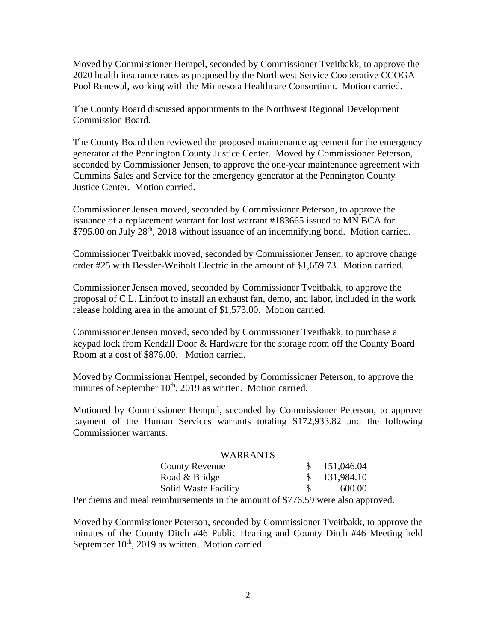Moved by Commissioner Hempel, seconded by Commissioner Tveitbakk, to approve the 2020 health insurance rates as proposed by the Northwest Service Cooperative CCOGA Pool Renewal, working with the Minnesota Healthcare Consortium. Motion carried.

The County Board discussed appointments to the Northwest Regional Development Commission Board.

The County Board then reviewed the proposed maintenance agreement for the emergency generator at the Pennington County Justice Center. Moved by Commissioner Peterson, seconded by Commissioner Jensen, to approve the one-year maintenance agreement with Cummins Sales and Service for the emergency generator at the Pennington County Justice Center. Motion carried.

Commissioner Jensen moved, seconded by Commissioner Peterson, to approve the issuance of a replacement warrant for lost warrant #183665 issued to MN BCA for \$795.00 on July 28<sup>th</sup>, 2018 without issuance of an indemnifying bond. Motion carried.

Commissioner Tveitbakk moved, seconded by Commissioner Jensen, to approve change order #25 with Bessler-Weibolt Electric in the amount of \$1,659.73. Motion carried.

Commissioner Jensen moved, seconded by Commissioner Tveitbakk, to approve the proposal of C.L. Linfoot to install an exhaust fan, demo, and labor, included in the work release holding area in the amount of \$1,573.00. Motion carried.

Commissioner Jensen moved, seconded by Commissioner Tveitbakk, to purchase a keypad lock from Kendall Door & Hardware for the storage room off the County Board Room at a cost of \$876.00. Motion carried.

Moved by Commissioner Hempel, seconded by Commissioner Peterson, to approve the minutes of September 10<sup>th</sup>, 2019 as written. Motion carried.

Motioned by Commissioner Hempel, seconded by Commissioner Peterson, to approve payment of the Human Services warrants totaling \$172,933.82 and the following Commissioner warrants.

| <b>WARRANTS</b>                                                                                  |              |
|--------------------------------------------------------------------------------------------------|--------------|
| <b>County Revenue</b>                                                                            | \$151,046.04 |
| Road & Bridge                                                                                    | \$131,984.10 |
| <b>Solid Waste Facility</b>                                                                      | 600.00       |
| $\Omega_{\alpha\beta}$ diams and most raimburgaments in the amount of $P776.50$ were also annual |              |

Per diems and meal reimbursements in the amount of \$776.59 were also approved.

Moved by Commissioner Peterson, seconded by Commissioner Tveitbakk, to approve the minutes of the County Ditch #46 Public Hearing and County Ditch #46 Meeting held September  $10<sup>th</sup>$ , 2019 as written. Motion carried.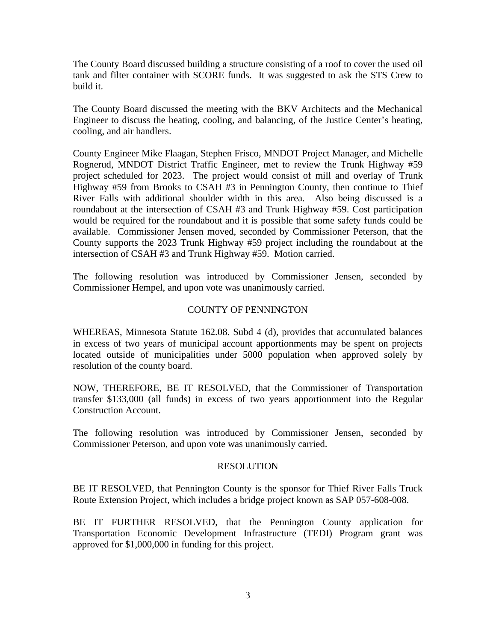The County Board discussed building a structure consisting of a roof to cover the used oil tank and filter container with SCORE funds. It was suggested to ask the STS Crew to build it.

The County Board discussed the meeting with the BKV Architects and the Mechanical Engineer to discuss the heating, cooling, and balancing, of the Justice Center's heating, cooling, and air handlers.

County Engineer Mike Flaagan, Stephen Frisco, MNDOT Project Manager, and Michelle Rognerud, MNDOT District Traffic Engineer, met to review the Trunk Highway #59 project scheduled for 2023. The project would consist of mill and overlay of Trunk Highway #59 from Brooks to CSAH #3 in Pennington County, then continue to Thief River Falls with additional shoulder width in this area. Also being discussed is a roundabout at the intersection of CSAH #3 and Trunk Highway #59. Cost participation would be required for the roundabout and it is possible that some safety funds could be available. Commissioner Jensen moved, seconded by Commissioner Peterson, that the County supports the 2023 Trunk Highway #59 project including the roundabout at the intersection of CSAH #3 and Trunk Highway #59. Motion carried.

The following resolution was introduced by Commissioner Jensen, seconded by Commissioner Hempel, and upon vote was unanimously carried.

## COUNTY OF PENNINGTON

WHEREAS, Minnesota Statute 162.08. Subd 4 (d), provides that accumulated balances in excess of two years of municipal account apportionments may be spent on projects located outside of municipalities under 5000 population when approved solely by resolution of the county board.

NOW, THEREFORE, BE IT RESOLVED, that the Commissioner of Transportation transfer \$133,000 (all funds) in excess of two years apportionment into the Regular Construction Account.

The following resolution was introduced by Commissioner Jensen, seconded by Commissioner Peterson, and upon vote was unanimously carried.

### RESOLUTION

BE IT RESOLVED, that Pennington County is the sponsor for Thief River Falls Truck Route Extension Project, which includes a bridge project known as SAP 057-608-008.

BE IT FURTHER RESOLVED, that the Pennington County application for Transportation Economic Development Infrastructure (TEDI) Program grant was approved for \$1,000,000 in funding for this project.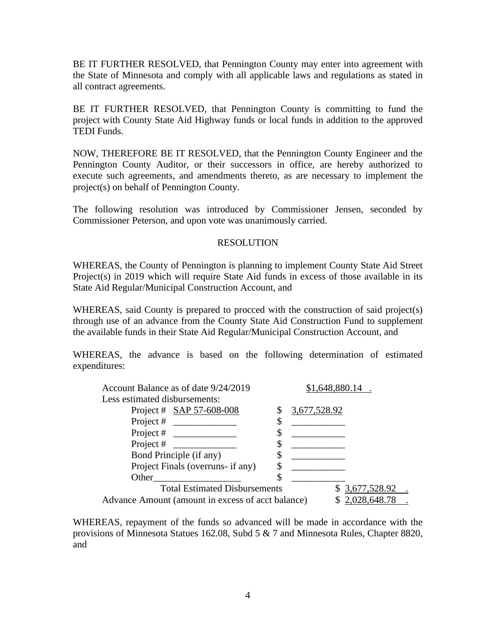BE IT FURTHER RESOLVED, that Pennington County may enter into agreement with the State of Minnesota and comply with all applicable laws and regulations as stated in all contract agreements.

BE IT FURTHER RESOLVED, that Pennington County is committing to fund the project with County State Aid Highway funds or local funds in addition to the approved TEDI Funds.

NOW, THEREFORE BE IT RESOLVED, that the Pennington County Engineer and the Pennington County Auditor, or their successors in office, are hereby authorized to execute such agreements, and amendments thereto, as are necessary to implement the project(s) on behalf of Pennington County.

The following resolution was introduced by Commissioner Jensen, seconded by Commissioner Peterson, and upon vote was unanimously carried.

## RESOLUTION

WHEREAS, the County of Pennington is planning to implement County State Aid Street Project(s) in 2019 which will require State Aid funds in excess of those available in its State Aid Regular/Municipal Construction Account, and

WHEREAS, said County is prepared to procced with the construction of said project(s) through use of an advance from the County State Aid Construction Fund to supplement the available funds in their State Aid Regular/Municipal Construction Account, and

WHEREAS, the advance is based on the following determination of estimated expenditures:

| Account Balance as of date 9/24/2019              | \$1,648,880.14 |  |
|---------------------------------------------------|----------------|--|
| Less estimated disbursements:                     |                |  |
| Project # SAP 57-608-008                          | 3,677,528.92   |  |
| Project #                                         | Φ              |  |
| Project #                                         |                |  |
| Project #                                         | Φ              |  |
| Bond Principle (if any)                           |                |  |
| Project Finals (overruns- if any)                 |                |  |
| Other                                             | \$             |  |
| <b>Total Estimated Disbursements</b>              | 3,677,528.92   |  |
| Advance Amount (amount in excess of acct balance) | 2,028,648.78   |  |

WHEREAS, repayment of the funds so advanced will be made in accordance with the provisions of Minnesota Statues 162.08, Subd 5 & 7 and Minnesota Rules, Chapter 8820, and